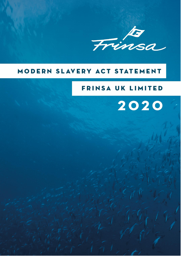

# MODERN SLAVERY ACT STATEMENT

# **FRINSA UK LIMITED**

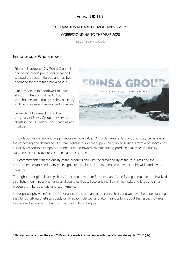## Frinsa UK Ltd.

#### DECLARATION REGARDING MODERN SLAVERY<sup>1</sup>

#### CORRESPONDING TO THE YEAR 2020

*Version 1. Date: August 2021*

### Frinsa Group. Who are we?

Frinsa del Noroeste, S.A (Frinsa Group), is one of the largest processors of canned seafood products in Europe and has been operating for more than half a century.

Our location, in the northwest of Spain, along with the commitment of our shareholders and employees, has been key in defining us as a company and its values.

Frinsa UK Ltd (Frinsa UK) is a direct subsidiary of Frinsa Group that services clients in the UK, Ireland, and Scandinavian markets.



Through our way of working, we promote our core values. As fundamental pillars of our Group, we believe in the respecting and defending of human rights in our entire supply chain; doing business from a perspective of a socially responsible company and one oriented towards manufacturing products that meet the quality standards expected by our customers and consumers.

Our commitments with the quality of the products and with the sustainability of the resources and the environment, established many years ago already, also include the people that work in this wide and diverse industry.

Throughout our global supply chain, for example, modern European and Asian fishing companies are involved; also, fishermen in near and far coastal countries that still use artisanal fishing methods, and large and small processors in Europe, Asia, and Latin America.

In our philosophy we reflect the importance of the human factor in this chain, and we have the understanding that, for us, talking of ethical supply or of responsible sourcing also means talking about the respect towards the people that make up this chain and their inherent rights.

<sup>&</sup>lt;sup>1</sup> This declaration covers the year 2020 and it is made in compliance with the "Modern Slavery Act 2015" (UK).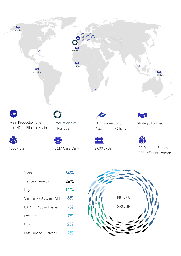

USA **2%**

East Europe / Balkans **2%**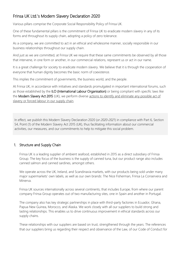## Frinsa UK Ltd.'s Modern Slavery Declaration 2020

Various pillars comprise the Corporate Social Responsibility Policy of Frinsa UK.

One of these fundamental pillars is the commitment of Frinsa UK to eradicate modern slavery in any of its forms and throughout its supply chain, adopting a policy of zero tolerance.

As a company, we are committed to act in an ethical and wholesome manner, socially responsible in our business relationships throughout our supply chain.

And just as we are committed, at Frinsa UK we require that these same commitments be observed by all those that intervene, in one form or another, in our commercial relations, represent us or act in our name.

It is a great challenge for society to eradicate modern slavery. We believe that it is through the cooperation of everyone that human dignity becomes the basic norm of coexistence.

This implies the commitment of governments, the business world, and the people.

At Frinsa UK, in accordance with initiatives and standards promulgated in important international forums, such as those established by the ILO (International Labour Organisation) or being compliant with specific laws like the Modern Slavery Act 2015 (UK), we perform diverse actions to identify and eliminate any possible act of slavery or forced labour in our supply chain.

In effect, we publish this Modern Slavery Declaration 2020 (*or 2020-2021*) in compliance with Part 6, Section 54, Point (1) of the Modern Slavery Act 2015 (UK), thus facilitating information about our commercial activities, our measures, and our commitments to help to mitigate this social problem.

#### 1. Structure and Supply Chain

Frinsa UK is a leading supplier of ambient seafood, established in 2015 as a direct subsidiary of Frinsa Group. The key focus of the business is the supply of canned tuna, but our product range also includes canned salmon and canned sardines, amongst others.

We operate across the UK, Ireland, and Scandinavia markets, with our products being sold under many major supermarkets' own labels, as well as our own brands: The Nice Fisherman, Frinsa La Conservera and Minerva.

Frinsa UK sources internationally across several continents, that includes Europe, from where our parent company Frinsa Group operates out of two manufacturing sites, one in Spain and another in Portugal.

The company also has key strategic partnerships in place with third-party factories in Ecuador, Ghana, Papua New Guinea, Morocco, and Alaska. We work closely with all our suppliers to build strong and lasting relationships. This enables us to drive continuous improvement in ethical standards across our supply chains.

These relationships with our suppliers are based on trust, strengthened through the years. The references that our suppliers bring us regarding their respect and observance of the Law, of our Code of Conduct for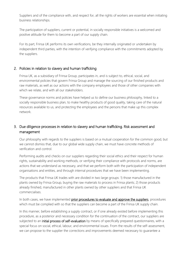Suppliers and of the compliance with, and respect for, all the rights of workers are essential when initiating business relationships.

The participation of suppliers, current or potential, in socially responsible initiatives is a welcomed and positive attitude for them to become a part of our supply chain.

For its part, Frinsa UK performs its own verifications, be they internally originated or undertaken by independent third parties, with the intention of verifying compliance with the commitments adopted by the suppliers.

#### 2. Policies in relation to slavery and human trafficking

Frinsa UK, as a subsidiary of Frinsa Group, participates in, and is subject to, ethical, social, and environmental policies that govern Frinsa Group and manage the sourcing of our finished products and raw materials, as well as our actions with the company employees and those of other companies with which we relate, and with all our stakeholders.

These governance norms and policies have helped us to define our business philosophy, linked to a socially responsible business plan, to make healthy products of good quality, taking care of the natural resources available to us, and protecting the employees and the persons that make up this complex network.

#### 3. Due diligence processes in relation to slavery and human trafficking. Risk assessment and management

Our philosophy with regards to the suppliers is based on a mutual cooperation for the common good, but we cannot dismiss that, due to our global wide supply chain, we must have concrete methods of verification and control.

Performing audits and checks on our suppliers regarding their social ethics and their respect for human rights, sustainability and working methods, or verifying their compliance with protocols and norms, are actions that we understand as necessary, and that we perform both with the participation of independent organisations and entities, and through internal procedures that we have been implementing.

The products that Frinsa UK trades with are divided in two large groups: 1) those manufactured in the plants owned by Frinsa Group, buying the raw materials to process in Frinsa plants; 2) those products already finished, manufactured in other plants owned by other suppliers and that Frinsa UK commercialises.

In both cases, we have implemented prior procedures to evaluate and approve the suppliers, procedures which must be complied with so that the suppliers can become a part of the Frinsa UK supply chain.

In this manner, before establishing a supply contract, or if one already existed before implementing this procedure, as a posterior and necessary condition for the continuation of the contract, our suppliers are subjected to an initial process of self-evaluation by means of specifically prepared questionnaires, with a special focus on social, ethical, labour, and environmental issues. From the results of the self-assessment, we can propose to the supplier the corrections and improvements deemed necessary to guarantee a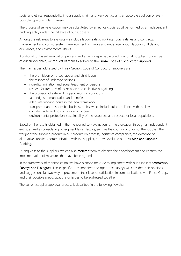social and ethical responsibility in our supply chain, and, very particularly, an absolute abolition of every possible type of modern slavery.

The process of self-evaluation may be substituted by an ethical-social audit performed by an independent auditing entity under the initiative of our suppliers.

Among the risk areas to evaluate we include labour safety, working hours, salaries and contracts, management and control systems, employment of minors and underage labour, labour conflicts and grievances, and environmental issues.

Additional to this self-evaluation process, and as an indispensable condition for all suppliers to form part of our supply chain, we request of them to adhere to the Frinsa Code of Conduct for Suppliers.

The main issues addressed by Frinsa Group's Code of Conduct for Suppliers are:

- the prohibition of forced labour and child labour
- the respect of underage persons
- non-discrimination and equal treatment of persons
- respect for freedom of association and collective bargaining
- the provision of safe and hygienic working conditions
- fair and just remuneration and benefits
- adequate working hours in the legal framework
- transparent and responsible business ethics, which include full compliance with the law, confidentiality and no corruption or bribery.
- environmental protection, sustainability of the resources and respect for local populations

Based on the results obtained in the mentioned self-evaluation, or the evaluation through an independent entity, as well as considering other possible risk factors, such as the country of origin of the supplier, the weight of the supplied product in our production process, legislative compliance, the existence of alternative suppliers, communication with the supplier, etc., we evaluate our Risk Map and Supplier

#### Auditing.

During visits to the suppliers, we can also **monitor** them to observe their development and confirm the implementation of measures that have been agreed.

In the framework of monitorisation, we have planned for 2022 to implement with our suppliers Satisfaction Surveys and Dialogues. These specific questionnaires and open-text surveys will consider their opinions and suggestions for two-way improvement, their level of satisfaction in communications with Frinsa Group, and their possible preoccupations or issues to be addressed together.

The current supplier approval process is described in the following flowchart: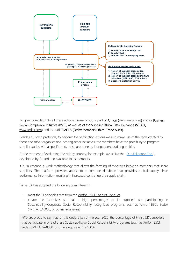

To give more depth to all these actions, Frinsa Group is part of **Amfori** [\(www.amfori.org\)](http://www.amfori.org/) and its **Business** Social Compliance Initiative (BSCI), as well as of the Supplier Ethical Data Exchange (SEDEX, [www.sedex.com\)](http://www.sedex.com/) and its audit SMETA (Sedex Members Ethical Trade Audit).

Besides our own protocols, to perform the verification actions we also make use of the tools created by these and other organisations. Among other initiatives, the members have the possibility to program supplier audits with a specific end, these are done by independent auditing entities.

At the moment of evaluating the risk by country, for example, we utilize the "[Due Diligence Tool](https://www.amfori.org/content/country-due-diligence-tool)", developed by Amfori and available to its members.

It is, in essence, a work methodology that allows the forming of synergies between members that share suppliers. The platform provides access to a common database that provides ethical supply chain performance information, resulting in increased control up the supply chain.

Frinsa UK has adopted the following commitments:

- meet the 11 principles that form the Amfori BSCI Code of Conduct.
- create the incentives so that a high percentage\* of its suppliers are participating in Sustainability/Corporate Social Responsibility recognized programs, such as Amfori BSCI, Sedex SMETA, SA8000, or others equivalent.

\*We are proud to say that for this declaration of the year 2020, the percentage of Frinsa UK's suppliers that participate in one of these Sustainability or Social Responsibility programs (such as Amfori BSCI, Sedex SMETA, SA8000, or others equivalent) is 100%.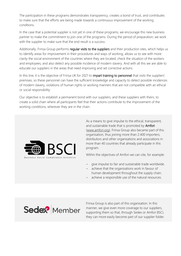The participation in these programs demonstrates transparency, creates a bond of trust, and contributes to make sure that the efforts are being made towards a continuous improvement of the working conditions.

In the case that a potential supplier is not yet in one of these programs, we encourage this new business partner to make the commitment to join one of the programs. During the period of preparation, we work with the supplier to make sure that the end result is a success.

Additionally, Frinsa Group performs regular visits to the suppliers and their production sites, which helps us to identify areas for improvement in their procedures and ways of working; allows us to see with more clarity the social environment of the countries where they are located; check the situation of the workers and employees, and also detect any possible incidence of modern slavery. And with all this we are able to educate our suppliers in the areas that need improving and set corrective actions.

In this line, it is the objective of Frinsa UK for 2021 to *impart training to personnel* that visits the suppliers' premises, so these personnel can have the sufficient knowledge and capacity to detect possible incidences of modern slavery, violations of human rights or working manners that are not compatible with an ethical or social responsibility.

Our objective is to establish a permanent bond with our suppliers, and these suppliers with theirs, to create a solid chain where all participants feel that their actions contribute to the improvement of the working conditions, wherever they are in the chain.



As a means to give impulse to the ethical, transparent, and sustainable trade that is promoted by **Amfori** [\(www.amfori.org\)](http://www.amfori.org/), Frinsa Group also became part of this organisation, thus joining more than 2.400 importers, distributors and other organisations and associations in more than 40 countries that already participate in this program.

Within the objectives of Amfori we can cite, for example:

- give impulse to fair and sustainable trade worldwide.
- achieve that the organisations work in favour of human development throughout the supply chain.
- achieve a responsible use of the natural resources.



Frinsa Group is also part of this organisation. In this manner, we give even more coverage to our suppliers, supporting them so that, through Sedex or Amfori BSCI, they can more easily become part of our supplier folder.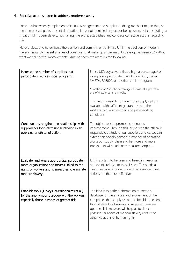#### 4. Effective actions taken to address modern slavery

Frinsa UK has recently implemented its Risk Management and Supplier Auditing mechanisms, so that, at the time of issuing this present declaration, it has not identified any act, or being suspect of constituting, a situation of modern slavery, not having, therefore, established any concrete corrective actions regarding this.

Nevertheless, and to reinforce the position and commitment of Frinsa UK in the abolition of modern slavery, Frinsa UK has set a series of objectives that make up a roadmap, to develop between 2021-2022, what we call "active improvements". Among them, we mention the following:

| Increase the number of suppliers that<br>participate in ethical-social programs.                                                                                    | Frinsa UK's objective is that a high a percentage* of<br>its suppliers participate in an Amfori BSCI, Sedex<br>SMETA, SA8000, or another similar program.<br>* For the year 2020, the percentage of Frinsa UK suppliers in<br>one of these programs is 100%.<br>This helps Frinsa UK to have more supply options<br>available with sufficient guarantees, and the<br>workers to guarantee their adequate working<br>conditions. |
|---------------------------------------------------------------------------------------------------------------------------------------------------------------------|---------------------------------------------------------------------------------------------------------------------------------------------------------------------------------------------------------------------------------------------------------------------------------------------------------------------------------------------------------------------------------------------------------------------------------|
| Continue to strengthen the relationships with<br>suppliers for long-term understanding in an<br>ever clearer ethical direction.                                     | The objective is to promote continuous<br>improvement. Through this, along with the ethically<br>responsible attitude of our suppliers and us, we can<br>extend this socially conscious manner of operating<br>along our supply chain and be more and more<br>transparent with each new measure adopted.                                                                                                                        |
| Evaluate, and where appropriate, participate in<br>more organisations and forums linked to the<br>rights of workers and to measures to eliminate<br>modern slavery. | It is important to be seen and heard in meetings<br>and events relative to these issues. This sends a<br>clear message of our attitude of intolerance. Clear<br>actions are the most effective.                                                                                                                                                                                                                                 |
| Establish tools (surveys, questionnaires et al.)<br>for the anonymous dialogue with the workers,<br>especially those in zones of greater risk.                      | The idea is to gather information to create a<br>database for the analysis and evolvement of the<br>companies that supply us, and to be able to extend<br>this initiative to all zones and regions where we<br>operate. This measure will help us to detect<br>possible situations of modern slavery risks or of<br>other violations of human rights.                                                                           |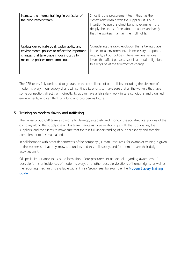| Increase the internal training, in particular of<br>the procurement team.                                                                                                           | Since it is the procurement team that has the<br>closest relationship with the suppliers, it is our<br>intention to use this direct bond to examine more<br>deeply the status of the labour relations and verify<br>that the workers maintain their full rights.            |
|-------------------------------------------------------------------------------------------------------------------------------------------------------------------------------------|-----------------------------------------------------------------------------------------------------------------------------------------------------------------------------------------------------------------------------------------------------------------------------|
| Update our ethical-social, sustainability and<br>environmental policies to reflect the important<br>changes that take place in our industry to<br>make the policies more ambitious. | Considering the rapid evolution that is taking place<br>in the social environment, it is necessary to update,<br>regularly, all our policies. These are very serious<br>issues that affect persons, so it is a moral obligation<br>to always be at the forefront of change. |

The CSR team, fully dedicated to guarantee the compliance of our policies, including the absence of modern slavery in our supply chain, will continue its efforts to make sure that all the workers that have some connection, directly or indirectly, to us can have a fair salary, work in safe conditions and dignified environments, and can think of a long and prosperous future.

#### 5. Training on modern slavery and trafficking

The Frinsa Group CSR team also works to develop, establish, and monitor the social-ethical policies of the company along the supply chain. This team maintains close relationships with the subsidiaries, the suppliers, and the clients to make sure that there is full understanding of our philosophy and that the commitment to it is maintained.

In collaboration with other departments of the company (Human Resources, for example) training is given to the workers so that they know and understand this philosophy, and for them to base their daily activities on it.

Of special importance to us is the formation of our procurement personnel regarding awareness of possible forms or incidences of modern slavery, or of other possible violations of human rights, as well as the reporting mechanisms available within Frinsa Group. See, for example, the Modern Slavery Training [Guide.](https://www.grupofrinsa.com/wp-content/uploads/2021/08/A6-Modern-Slavery-Training-Guide.pdf)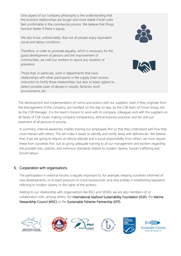One aspect of our company philosophy is the understanding that the business relationships are longer and more stable if both sides feel comfortable in the commercial process. We believe that things function better if there is equity.

We also know, unfortunately, that not all people enjoy equivalent social and labour conditions.

Therefore, in order to promote equality, which is necessary for the good development of persons and the improvement of communities, we instil our workers to report any situation of grievance.

Those that, in particular, work in departments that have relationships with other participants in the supply chain receive instruction to fortify these relationships, but also, to keep vigilant to detect possible cases of abuses in vessels, factories, work environments, etc.





The development and implementation of norms and actions with our suppliers, even if they originate from the Management of the company, are handled, on the day-to-day, by the CSR team of Frinsa Group, led by the CSR Manager. It is the team's mission to work with its company colleagues and with the suppliers on all facets of CSR issues, making company transparency, ethical business practices and fair and just treatment of all persons its priority.

In summary, internal awareness implies training our employees first so that they understand well how they must interact with others. This will make it easier to identify and rectify areas with deficiencies. We believe that, if we are going to require an ethical attitude and a social responsibility from others, we must require these from ourselves first. Just as giving adequate training to all our management and workers regarding the possible risks, policies, and minimum standards relative to modern slavery, human trafficking and forced labour.

#### 6. Cooperation with organisations

The participation in external forums is equally important to, for example, keeping ourselves informed of new developments, or to exert pressure on more bureaucratic and slow entities in establishing legislation referring to modern slavery or the rights of the workers.

Adding to our relationship with organisations like BSCI and SEDEX, we are also members of, or collaborators with, among others, the International Seafood Sustainability Foundation (ISSF), the Marine Stewardship Council (MSC) or the Sustainable Fisheries Partnership (SFP).

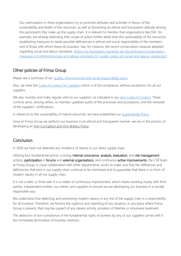Our participation in these organisations try to promote attitudes and activities in favour of the sustainability and health of the resources, as well as fomenting an ethical and transparent attitude among the participants that make up the supply chain. It is relevant to mention that organisations like ISSF, for example, are already extending their scope of action further afield than the sustainability of the resources, establishing measures to tackle possible deficiencies in ethical and social responsibility of the members, and of those with whom these do business. See, for instance, the recent conservation measure adopted regarding social and labour standards: [\(https://iss-foundation.org/what-we-do/verification/conservation](https://iss-foundation.org/what-we-do/verification/conservation-measures-commitments/social-and-labour-standards-9-1-public-policy-on-social-and-labour-standards/)[measures-commitments/social-and-labour-standards-9-1-public-policy-on-social-and-labour-standards/\)](https://iss-foundation.org/what-we-do/verification/conservation-measures-commitments/social-and-labour-standards-9-1-public-policy-on-social-and-labour-standards/).

## Other policies of Frinsa Group

Please see a summary of our [quality, environmental and social responsibility policy.](https://www.grupofrinsa.com/wp-content/uploads/2021/08/A1-Quality-Environment-and-Social-Responsibility-Policy.pdf)

Also, we have the [Code of Conduct for Suppliers](https://www.grupofrinsa.com/wp-content/uploads/2021/08/A2-CODE-OF-CONDUCT-FOR-SUPPLIERS.pdf) which is of full compliance, without exceptions, for all our suppliers.

We also monitor and make regular visits to our suppliers, as indicated in our [own Code of Conduct.](https://www.grupofrinsa.com/wp-content/uploads/2021/08/A3-FRINSAS-CODE-OF-CONDUCT.pdf) These controls serve, among others, to maintain updated audits of the processes and procedures, and the renewals of the suppliers' certifications.

In reference to the sustainability of marine resources, we have established our [Sustainability Policy.](https://www.grupofrinsa.com/wp-content/uploads/2021/08/A4-Frinsa-Sustainability-Policy.pdf)

Since at Frinsa Group we perform our business in an ethical and transparent manner, we are in the process of developing an Anti-Corruption and Anti-Bribery Policy.

### Conclusion

In 2020 we have not detected any incidence of slavery in our direct supply chain.

Utilising four fundamental points: a strong internal conscience; analysis, evaluation, and risk management actions; participation in forums and external organisations; and continuous active improvements, the CSR team at Frinsa Group, in close collaboration with other departments, works to make sure that the differences and deficiencies that exist in our supply chain continue to be minimised and to guarantee that there is no form of modern slavery in all our supply chain.

It is not a static or finite task. It is a matter of continuous improvement, which means working closely with third parties, independent entities, our clients, and suppliers to ensure we are developing our business in a socially responsible way.

We understand that detecting and preventing modern slavery in any link of the supply chain is a responsibility for all involved. Therefore, we foment the vigilance and reporting of any situation, in any place where Frinsa Group is present, that may be suspect of any slavery activity, privation of liberties or inhumane treatment.

The detection of non-compliance of the fundamental rights of workers by any of our suppliers carries with it the immediate termination of business relations.